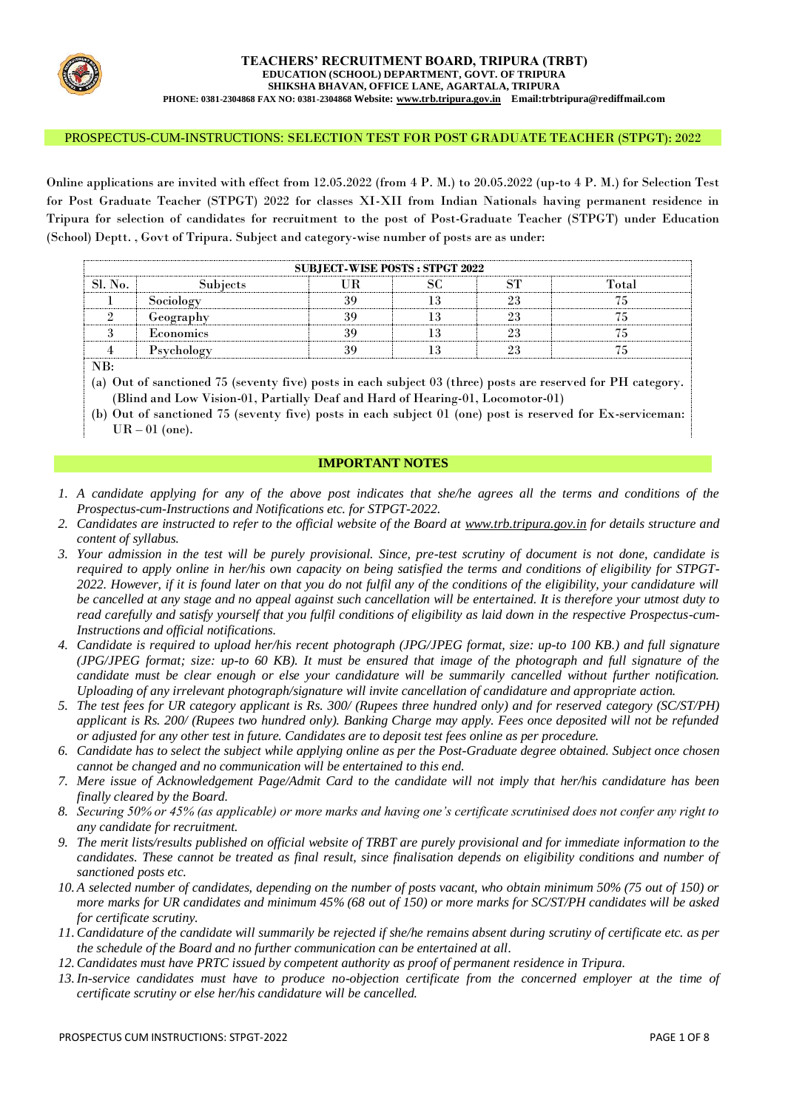

#### PROSPECTUS-CUM-INSTRUCTIONS: SELECTION TEST FOR POST GRADUATE TEACHER (STPGT): 2022

Online applications are invited with effect from 12.05.2022 (from 4 P. M.) to 20.05.2022 (up-to 4 P. M.) for Selection Test for Post Graduate Teacher (STPGT) 2022 for classes XI-XII from Indian Nationals having permanent residence in Tripura for selection of candidates for recruitment to the post of Post-Graduate Teacher (STPGT) under Education (School) Deptt. , Govt of Tripura. Subject and category-wise number of posts are as under:

| <b>SUBJECT-WISE POSTS: STPGT 2022</b>                                                                        |            |    |    |    |       |  |  |
|--------------------------------------------------------------------------------------------------------------|------------|----|----|----|-------|--|--|
| <b>SL No.</b>                                                                                                | Subjects   | UR | SC | SТ | Total |  |  |
|                                                                                                              | Sociology  | 39 | 13 | 23 | 75    |  |  |
| າ                                                                                                            | Geography  | 39 | 13 | 23 | 75    |  |  |
|                                                                                                              | Economics  | 39 |    | 23 |       |  |  |
|                                                                                                              | Psychology | 39 | 13 | 23 | 75    |  |  |
| NB:                                                                                                          |            |    |    |    |       |  |  |
| (a) Out of sanctioned 75 (seventy five) posts in each subject 03 (three) posts are reserved for PH category. |            |    |    |    |       |  |  |
| (Blind and Low Vision-01, Partially Deaf and Hard of Hearing-01, Locomotor-01)                               |            |    |    |    |       |  |  |

(b) Out of sanctioned 75 (seventy five) posts in each subject 01 (one) post is reserved for Ex-serviceman:  $UR - 01$  (one).

### **IMPORTANT NOTES**

- *1. A candidate applying for any of the above post indicates that she/he agrees all the terms and conditions of the Prospectus-cum-Instructions and Notifications etc. for STPGT-2022.*
- *2. Candidates are instructed to refer to the official website of the Board at [www.trb.tripura.gov.in](http://www.trb.tripura.gov.in/) for details structure and content of syllabus.*
- *3. Your admission in the test will be purely provisional. Since, pre-test scrutiny of document is not done, candidate is required to apply online in her/his own capacity on being satisfied the terms and conditions of eligibility for STPGT-2022. However, if it is found later on that you do not fulfil any of the conditions of the eligibility, your candidature will be cancelled at any stage and no appeal against such cancellation will be entertained. It is therefore your utmost duty to read carefully and satisfy yourself that you fulfil conditions of eligibility as laid down in the respective Prospectus-cum-Instructions and official notifications.*
- *4. Candidate is required to upload her/his recent photograph (JPG/JPEG format, size: up-to 100 KB.) and full signature (JPG/JPEG format; size: up-to 60 KB). It must be ensured that image of the photograph and full signature of the candidate must be clear enough or else your candidature will be summarily cancelled without further notification. Uploading of any irrelevant photograph/signature will invite cancellation of candidature and appropriate action.*
- *5. The test fees for UR category applicant is Rs. 300/ (Rupees three hundred only) and for reserved category (SC/ST/PH) applicant is Rs. 200/ (Rupees two hundred only). Banking Charge may apply. Fees once deposited will not be refunded or adjusted for any other test in future. Candidates are to deposit test fees online as per procedure.*
- *6. Candidate has to select the subject while applying online as per the Post-Graduate degree obtained. Subject once chosen cannot be changed and no communication will be entertained to this end.*
- *7. Mere issue of Acknowledgement Page/Admit Card to the candidate will not imply that her/his candidature has been finally cleared by the Board.*
- *8. Securing 50% or 45% (as applicable) or more marks and having one's certificate scrutinised does not confer any right to any candidate for recruitment.*
- *9. The merit lists/results published on official website of TRBT are purely provisional and for immediate information to the candidates. These cannot be treated as final result, since finalisation depends on eligibility conditions and number of sanctioned posts etc.*
- *10. A selected number of candidates, depending on the number of posts vacant, who obtain minimum 50% (75 out of 150) or more marks for UR candidates and minimum 45% (68 out of 150) or more marks for SC/ST/PH candidates will be asked for certificate scrutiny.*
- *11.Candidature of the candidate will summarily be rejected if she/he remains absent during scrutiny of certificate etc. as per the schedule of the Board and no further communication can be entertained at all.*
- *12.Candidates must have PRTC issued by competent authority as proof of permanent residence in Tripura.*
- *13.In-service candidates must have to produce no-objection certificate from the concerned employer at the time of certificate scrutiny or else her/his candidature will be cancelled.*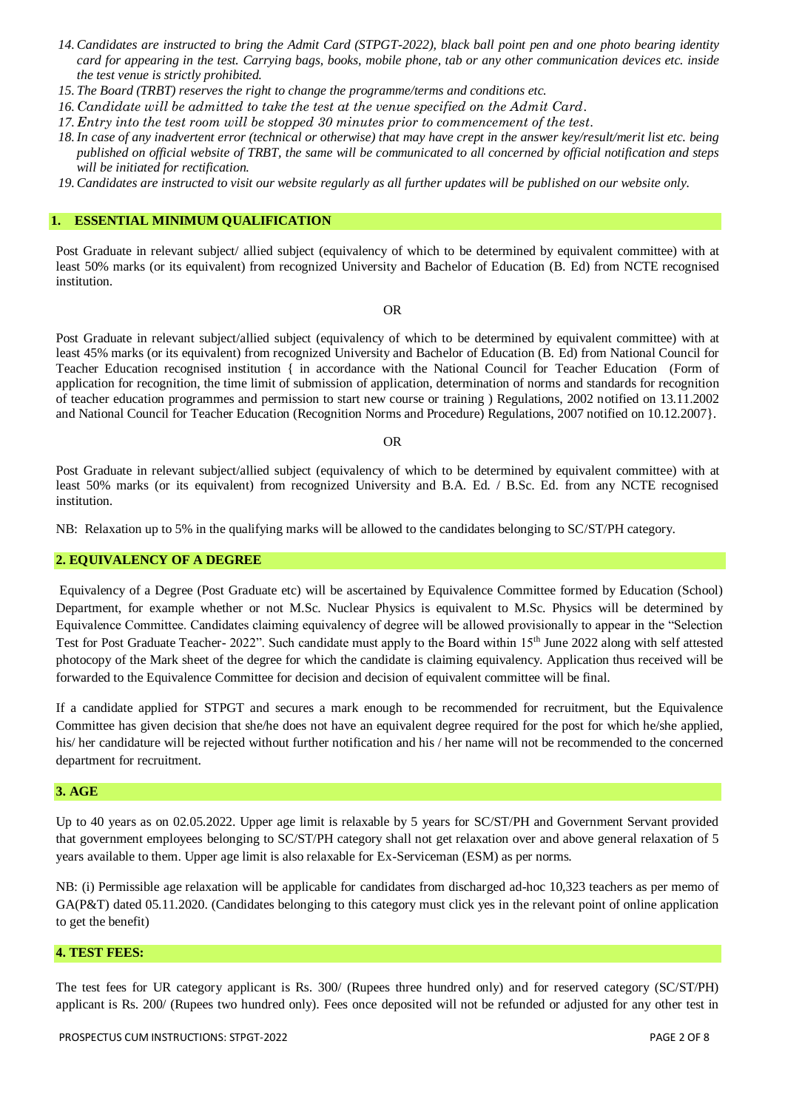- *14.Candidates are instructed to bring the Admit Card (STPGT-2022), black ball point pen and one photo bearing identity card for appearing in the test. Carrying bags, books, mobile phone, tab or any other communication devices etc. inside the test venue is strictly prohibited.*
- *15. The Board (TRBT) reserves the right to change the programme/terms and conditions etc.*
- *16. Candidate will be admitted to take the test at the venue specified on the Admit Card.*
- *17. Entry into the test room will be stopped 30 minutes prior to commencement of the test.*
- *18.In case of any inadvertent error (technical or otherwise) that may have crept in the answer key/result/merit list etc. being published on official website of TRBT, the same will be communicated to all concerned by official notification and steps will be initiated for rectification.*
- *19.Candidates are instructed to visit our website regularly as all further updates will be published on our website only.*

#### **1. ESSENTIAL MINIMUM QUALIFICATION**

Post Graduate in relevant subject/ allied subject (equivalency of which to be determined by equivalent committee) with at least 50% marks (or its equivalent) from recognized University and Bachelor of Education (B. Ed) from NCTE recognised institution.

#### OR

Post Graduate in relevant subject/allied subject (equivalency of which to be determined by equivalent committee) with at least 45% marks (or its equivalent) from recognized University and Bachelor of Education (B. Ed) from National Council for Teacher Education recognised institution { in accordance with the National Council for Teacher Education (Form of application for recognition, the time limit of submission of application, determination of norms and standards for recognition of teacher education programmes and permission to start new course or training ) Regulations, 2002 notified on 13.11.2002 and National Council for Teacher Education (Recognition Norms and Procedure) Regulations, 2007 notified on 10.12.2007}.

#### OR

Post Graduate in relevant subject/allied subject (equivalency of which to be determined by equivalent committee) with at least 50% marks (or its equivalent) from recognized University and B.A. Ed. / B.Sc. Ed. from any NCTE recognised institution.

NB: Relaxation up to 5% in the qualifying marks will be allowed to the candidates belonging to SC/ST/PH category.

#### **2. EQUIVALENCY OF A DEGREE**

Equivalency of a Degree (Post Graduate etc) will be ascertained by Equivalence Committee formed by Education (School) Department, for example whether or not M.Sc. Nuclear Physics is equivalent to M.Sc. Physics will be determined by Equivalence Committee. Candidates claiming equivalency of degree will be allowed provisionally to appear in the "Selection Test for Post Graduate Teacher- 2022". Such candidate must apply to the Board within 15th June 2022 along with self attested photocopy of the Mark sheet of the degree for which the candidate is claiming equivalency. Application thus received will be forwarded to the Equivalence Committee for decision and decision of equivalent committee will be final.

If a candidate applied for STPGT and secures a mark enough to be recommended for recruitment, but the Equivalence Committee has given decision that she/he does not have an equivalent degree required for the post for which he/she applied, his/ her candidature will be rejected without further notification and his / her name will not be recommended to the concerned department for recruitment.

#### **3. AGE**

Up to 40 years as on 02.05.2022. Upper age limit is relaxable by 5 years for SC/ST/PH and Government Servant provided that government employees belonging to SC/ST/PH category shall not get relaxation over and above general relaxation of 5 years available to them. Upper age limit is also relaxable for Ex-Serviceman (ESM) as per norms.

NB: (i) Permissible age relaxation will be applicable for candidates from discharged ad-hoc 10,323 teachers as per memo of GA(P&T) dated 05.11.2020. (Candidates belonging to this category must click yes in the relevant point of online application to get the benefit)

## **4. TEST FEES:**

The test fees for UR category applicant is Rs. 300/ (Rupees three hundred only) and for reserved category (SC/ST/PH) applicant is Rs. 200/ (Rupees two hundred only). Fees once deposited will not be refunded or adjusted for any other test in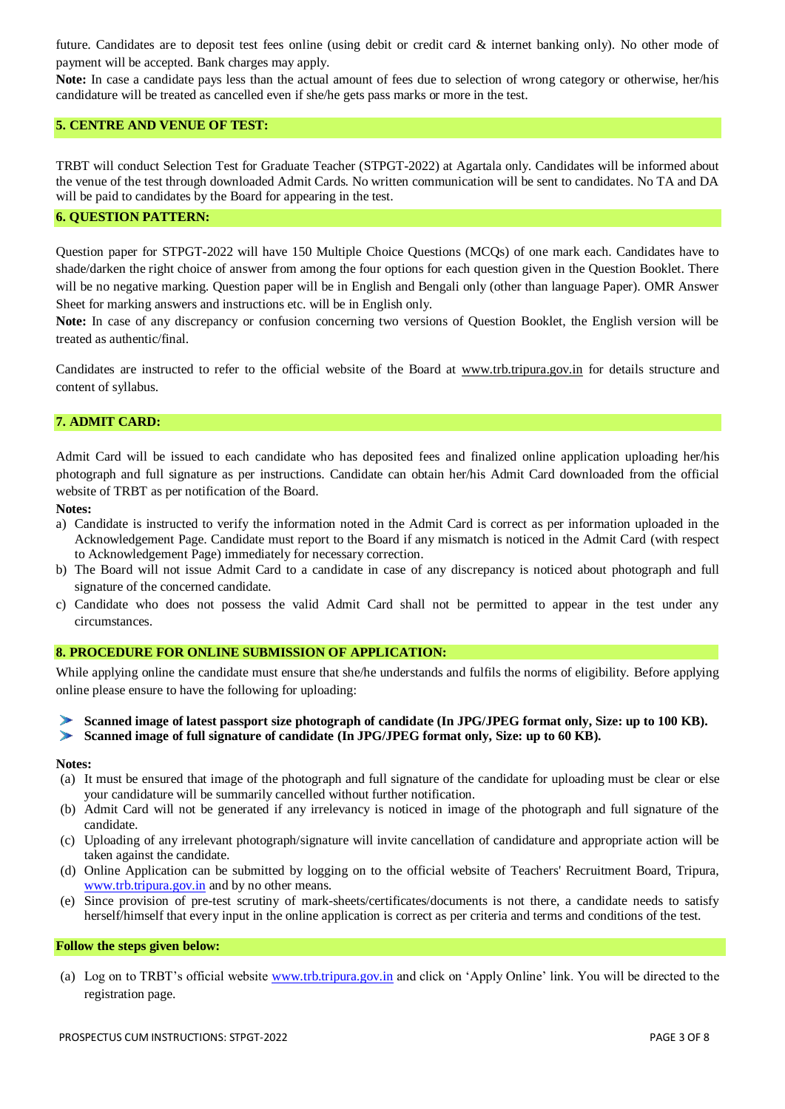future. Candidates are to deposit test fees online (using debit or credit card & internet banking only). No other mode of payment will be accepted. Bank charges may apply.

**Note:** In case a candidate pays less than the actual amount of fees due to selection of wrong category or otherwise, her/his candidature will be treated as cancelled even if she/he gets pass marks or more in the test.

### **5. CENTRE AND VENUE OF TEST:**

TRBT will conduct Selection Test for Graduate Teacher (STPGT-2022) at Agartala only. Candidates will be informed about the venue of the test through downloaded Admit Cards. No written communication will be sent to candidates. No TA and DA will be paid to candidates by the Board for appearing in the test.

### **6. QUESTION PATTERN:**

Question paper for STPGT-2022 will have 150 Multiple Choice Questions (MCQs) of one mark each. Candidates have to shade/darken the right choice of answer from among the four options for each question given in the Question Booklet. There will be no negative marking. Question paper will be in English and Bengali only (other than language Paper). OMR Answer Sheet for marking answers and instructions etc. will be in English only.

**Note:** In case of any discrepancy or confusion concerning two versions of Question Booklet, the English version will be treated as authentic/final.

Candidates are instructed to refer to the official website of the Board at [www.trb.tripura.gov.in](http://www.trb.tripura.gov.in/) for details structure and content of syllabus.

#### **7. ADMIT CARD:**

Admit Card will be issued to each candidate who has deposited fees and finalized online application uploading her/his photograph and full signature as per instructions. Candidate can obtain her/his Admit Card downloaded from the official website of TRBT as per notification of the Board.

**Notes:**

- a) Candidate is instructed to verify the information noted in the Admit Card is correct as per information uploaded in the Acknowledgement Page. Candidate must report to the Board if any mismatch is noticed in the Admit Card (with respect to Acknowledgement Page) immediately for necessary correction.
- b) The Board will not issue Admit Card to a candidate in case of any discrepancy is noticed about photograph and full signature of the concerned candidate.
- c) Candidate who does not possess the valid Admit Card shall not be permitted to appear in the test under any circumstances.

#### **8. PROCEDURE FOR ONLINE SUBMISSION OF APPLICATION:**

While applying online the candidate must ensure that she/he understands and fulfils the norms of eligibility. Before applying online please ensure to have the following for uploading:

**Scanned image of latest passport size photograph of candidate (In JPG/JPEG format only, Size: up to 100 KB).**

**Scanned image of full signature of candidate (In JPG/JPEG format only, Size: up to 60 KB).** 

#### **Notes:**

- (a) It must be ensured that image of the photograph and full signature of the candidate for uploading must be clear or else your candidature will be summarily cancelled without further notification.
- (b) Admit Card will not be generated if any irrelevancy is noticed in image of the photograph and full signature of the candidate.
- (c) Uploading of any irrelevant photograph/signature will invite cancellation of candidature and appropriate action will be taken against the candidate.
- (d) Online Application can be submitted by logging on to the official website of Teachers' Recruitment Board, Tripura, [www.trb.tripura.gov.in](http://www.trb.tripura.gov.in/) and by no other means.
- (e) Since provision of pre-test scrutiny of mark-sheets/certificates/documents is not there, a candidate needs to satisfy herself/himself that every input in the online application is correct as per criteria and terms and conditions of the test.

#### **Follow the steps given below:**

(a) Log on to TRBT's official website [www.trb.tripura.gov.in](http://www.trb.tripura.gov.in/) and click on 'Apply Online' link. You will be directed to the registration page.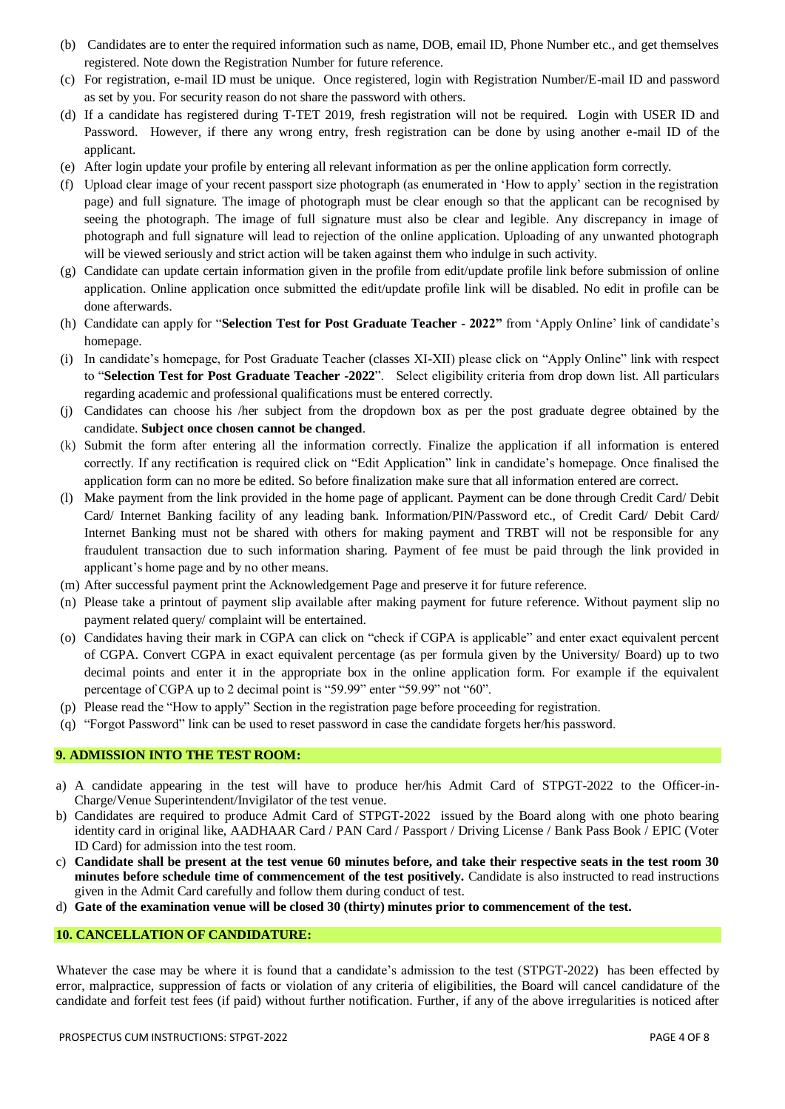- (b) Candidates are to enter the required information such as name, DOB, email ID, Phone Number etc., and get themselves registered. Note down the Registration Number for future reference.
- (c) For registration, e-mail ID must be unique. Once registered, login with Registration Number/E-mail ID and password as set by you. For security reason do not share the password with others.
- (d) If a candidate has registered during T-TET 2019, fresh registration will not be required. Login with USER ID and Password. However, if there any wrong entry, fresh registration can be done by using another e-mail ID of the applicant.
- (e) After login update your profile by entering all relevant information as per the online application form correctly.
- (f) Upload clear image of your recent passport size photograph (as enumerated in 'How to apply' section in the registration page) and full signature. The image of photograph must be clear enough so that the applicant can be recognised by seeing the photograph. The image of full signature must also be clear and legible. Any discrepancy in image of photograph and full signature will lead to rejection of the online application. Uploading of any unwanted photograph will be viewed seriously and strict action will be taken against them who indulge in such activity.
- (g) Candidate can update certain information given in the profile from edit/update profile link before submission of online application. Online application once submitted the edit/update profile link will be disabled. No edit in profile can be done afterwards.
- (h) Candidate can apply for "**Selection Test for Post Graduate Teacher - 2022"** from 'Apply Online' link of candidate's homepage.
- (i) In candidate's homepage, for Post Graduate Teacher (classes XI-XII) please click on "Apply Online" link with respect to "**Selection Test for Post Graduate Teacher -2022**". Select eligibility criteria from drop down list. All particulars regarding academic and professional qualifications must be entered correctly.
- (j) Candidates can choose his /her subject from the dropdown box as per the post graduate degree obtained by the candidate. **Subject once chosen cannot be changed**.
- (k) Submit the form after entering all the information correctly. Finalize the application if all information is entered correctly. If any rectification is required click on "Edit Application" link in candidate's homepage. Once finalised the application form can no more be edited. So before finalization make sure that all information entered are correct.
- (l) Make payment from the link provided in the home page of applicant. Payment can be done through Credit Card/ Debit Card/ Internet Banking facility of any leading bank. Information/PIN/Password etc., of Credit Card/ Debit Card/ Internet Banking must not be shared with others for making payment and TRBT will not be responsible for any fraudulent transaction due to such information sharing. Payment of fee must be paid through the link provided in applicant's home page and by no other means.
- (m) After successful payment print the Acknowledgement Page and preserve it for future reference.
- (n) Please take a printout of payment slip available after making payment for future reference. Without payment slip no payment related query/ complaint will be entertained.
- (o) Candidates having their mark in CGPA can click on "check if CGPA is applicable" and enter exact equivalent percent of CGPA. Convert CGPA in exact equivalent percentage (as per formula given by the University/ Board) up to two decimal points and enter it in the appropriate box in the online application form. For example if the equivalent percentage of CGPA up to 2 decimal point is "59.99" enter "59.99" not "60".
- (p) Please read the "How to apply" Section in the registration page before proceeding for registration.
- (q) "Forgot Password" link can be used to reset password in case the candidate forgets her/his password.

### **9. ADMISSION INTO THE TEST ROOM:**

- a) A candidate appearing in the test will have to produce her/his Admit Card of STPGT-2022 to the Officer-in-Charge/Venue Superintendent/Invigilator of the test venue.
- b) Candidates are required to produce Admit Card of STPGT-2022 issued by the Board along with one photo bearing identity card in original like, AADHAAR Card / PAN Card / Passport / Driving License / Bank Pass Book / EPIC (Voter ID Card) for admission into the test room.
- c) **Candidate shall be present at the test venue 60 minutes before, and take their respective seats in the test room 30 minutes before schedule time of commencement of the test positively.** Candidate is also instructed to read instructions given in the Admit Card carefully and follow them during conduct of test.
- d) **Gate of the examination venue will be closed 30 (thirty) minutes prior to commencement of the test.**

#### **10. CANCELLATION OF CANDIDATURE:**

Whatever the case may be where it is found that a candidate's admission to the test (STPGT-2022) has been effected by error, malpractice, suppression of facts or violation of any criteria of eligibilities, the Board will cancel candidature of the candidate and forfeit test fees (if paid) without further notification. Further, if any of the above irregularities is noticed after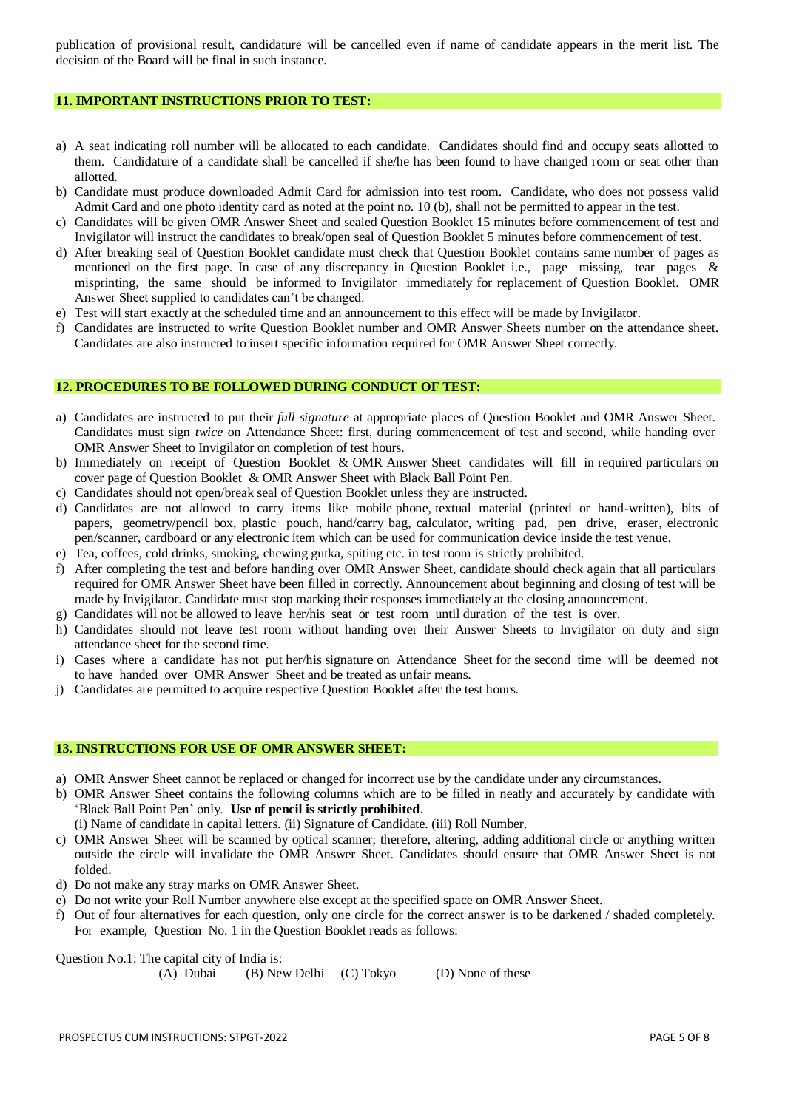publication of provisional result, candidature will be cancelled even if name of candidate appears in the merit list. The decision of the Board will be final in such instance.

#### **11. IMPORTANT INSTRUCTIONS PRIOR TO TEST:**

- a) A seat indicating roll number will be allocated to each candidate. Candidates should find and occupy seats allotted to them. Candidature of a candidate shall be cancelled if she/he has been found to have changed room or seat other than allotted.
- b) Candidate must produce downloaded Admit Card for admission into test room. Candidate, who does not possess valid Admit Card and one photo identity card as noted at the point no. 10 (b), shall not be permitted to appear in the test.
- c) Candidates will be given OMR Answer Sheet and sealed Question Booklet 15 minutes before commencement of test and Invigilator will instruct the candidates to break/open seal of Question Booklet 5 minutes before commencement of test.
- d) After breaking seal of Question Booklet candidate must check that Question Booklet contains same number of pages as mentioned on the first page. In case of any discrepancy in Question Booklet i.e., page missing, tear pages & misprinting, the same should be informed to Invigilator immediately for replacement of Question Booklet. OMR Answer Sheet supplied to candidates can't be changed.
- e) Test will start exactly at the scheduled time and an announcement to this effect will be made by Invigilator.
- f) Candidates are instructed to write Question Booklet number and OMR Answer Sheets number on the attendance sheet. Candidates are also instructed to insert specific information required for OMR Answer Sheet correctly.

### **12. PROCEDURES TO BE FOLLOWED DURING CONDUCT OF TEST:**

- a) Candidates are instructed to put their *full signature* at appropriate places of Question Booklet and OMR Answer Sheet. Candidates must sign *twice* on Attendance Sheet: first, during commencement of test and second, while handing over OMR Answer Sheet to Invigilator on completion of test hours.
- b) Immediately on receipt of Question Booklet & OMR Answer Sheet candidates will fill in required particulars on cover page of Question Booklet & OMR Answer Sheet with Black Ball Point Pen.
- c) Candidates should not open/break seal of Question Booklet unless they are instructed.
- d) Candidates are not allowed to carry items like mobile phone, textual material (printed or hand-written), bits of papers, geometry/pencil box, plastic pouch, hand/carry bag, calculator, writing pad, pen drive, eraser, electronic pen/scanner, cardboard or any electronic item which can be used for communication device inside the test venue.
- e) Tea, coffees, cold drinks, smoking, chewing gutka, spiting etc. in test room is strictly prohibited.
- f) After completing the test and before handing over OMR Answer Sheet, candidate should check again that all particulars required for OMR Answer Sheet have been filled in correctly. Announcement about beginning and closing of test will be made by Invigilator. Candidate must stop marking their responses immediately at the closing announcement.
- g) Candidates will not be allowed to leave her/his seat or test room until duration of the test is over.
- h) Candidates should not leave test room without handing over their Answer Sheets to Invigilator on duty and sign attendance sheet for the second time.
- i) Cases where a candidate has not put her/his signature on Attendance Sheet for the second time will be deemed not to have handed over OMR Answer Sheet and be treated as unfair means.
- j) Candidates are permitted to acquire respective Question Booklet after the test hours.

# **13. INSTRUCTIONS FOR USE OF OMR ANSWER SHEET:**

- a) OMR Answer Sheet cannot be replaced or changed for incorrect use by the candidate under any circumstances.
- b) OMR Answer Sheet contains the following columns which are to be filled in neatly and accurately by candidate with 'Black Ball Point Pen' only. **Use of pencil is strictly prohibited**.
- (i) Name of candidate in capital letters. (ii) Signature of Candidate. (iii) Roll Number.
- c) OMR Answer Sheet will be scanned by optical scanner; therefore, altering, adding additional circle or anything written outside the circle will invalidate the OMR Answer Sheet. Candidates should ensure that OMR Answer Sheet is not folded.
- d) Do not make any stray marks on OMR Answer Sheet.
- e) Do not write your Roll Number anywhere else except at the specified space on OMR Answer Sheet.
- f) Out of four alternatives for each question, only one circle for the correct answer is to be darkened / shaded completely. For example, Question No. 1 in the Question Booklet reads as follows:

Question No.1: The capital city of India is:

(A) Dubai (B) New Delhi (C) Tokyo (D) None of these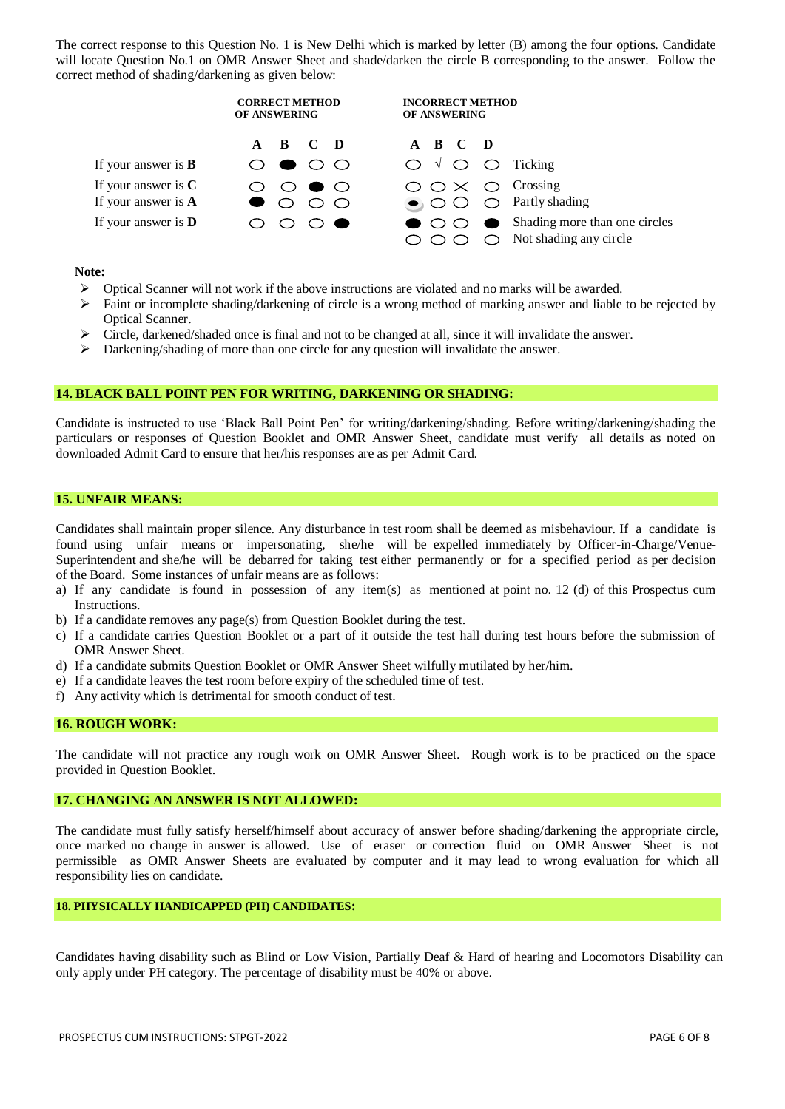The correct response to this Question No. 1 is New Delhi which is marked by letter (B) among the four options. Candidate will locate Question No.1 on OMR Answer Sheet and shade/darken the circle B corresponding to the answer. Follow the correct method of shading/darkening as given below:

|                                                | <b>CORRECT METHOD</b><br>OF ANSWERING                      | <b>INCORRECT METHOD</b><br>OF ANSWERING                                                                    |
|------------------------------------------------|------------------------------------------------------------|------------------------------------------------------------------------------------------------------------|
|                                                | $\mathbf{C}$ <b>D</b><br>$A$ $B$                           | A B C D                                                                                                    |
| If your answer is $B$                          | ◯                                                          | $\bigcirc \vee \bigcirc \bigcirc$ Ticking                                                                  |
| If your answer is $C$<br>If your answer is $A$ | $\qquad \qquad \bullet$ ( )<br>$\left( \quad \right)$<br>◯ | $\bigcirc \bigcirc \times \bigcirc$ Crossing<br>$\bigcirc$ $\bigcirc$ $\bigcirc$ $\bigcirc$ Partly shading |
| If your answer is $D$                          | Ð                                                          | $\bigcirc$ Shading more than one circles<br>$\bullet$ $\circ$<br>Not shading any circle                    |

#### **Note:**

- $\triangleright$  Optical Scanner will not work if the above instructions are violated and no marks will be awarded.
- Faint or incomplete shading/darkening of circle is a wrong method of marking answer and liable to be rejected by Optical Scanner.
- Circle, darkened/shaded once is final and not to be changed at all, since it will invalidate the answer.
- $\triangleright$  Darkening/shading of more than one circle for any question will invalidate the answer.

#### **14. BLACK BALL POINT PEN FOR WRITING, DARKENING OR SHADING:**

Candidate is instructed to use 'Black Ball Point Pen' for writing/darkening/shading. Before writing/darkening/shading the particulars or responses of Question Booklet and OMR Answer Sheet, candidate must verify all details as noted on downloaded Admit Card to ensure that her/his responses are as per Admit Card.

#### **15. UNFAIR MEANS:**

Candidates shall maintain proper silence. Any disturbance in test room shall be deemed as misbehaviour. If a candidate is found using unfair means or impersonating, she/he will be expelled immediately by Officer-in-Charge/Venue-Superintendent and she/he will be debarred for taking test either permanently or for a specified period as per decision of the Board. Some instances of unfair means are as follows:

- a) If any candidate is found in possession of any item(s) as mentioned at point no. 12 (d) of this Prospectus cum Instructions.
- b) If a candidate removes any page(s) from Question Booklet during the test.
- c) If a candidate carries Question Booklet or a part of it outside the test hall during test hours before the submission of OMR Answer Sheet.
- d) If a candidate submits Question Booklet or OMR Answer Sheet wilfully mutilated by her/him.
- e) If a candidate leaves the test room before expiry of the scheduled time of test.
- f) Any activity which is detrimental for smooth conduct of test.

#### **16. ROUGH WORK:**

The candidate will not practice any rough work on OMR Answer Sheet. Rough work is to be practiced on the space provided in Question Booklet.

## **17. CHANGING AN ANSWER IS NOT ALLOWED:**

The candidate must fully satisfy herself/himself about accuracy of answer before shading/darkening the appropriate circle, once marked no change in answer is allowed. Use of eraser or correction fluid on OMR Answer Sheet is not permissible as OMR Answer Sheets are evaluated by computer and it may lead to wrong evaluation for which all responsibility lies on candidate.

## **18. PHYSICALLY HANDICAPPED (PH) CANDIDATES:**

Candidates having disability such as Blind or Low Vision, Partially Deaf & Hard of hearing and Locomotors Disability can only apply under PH category. The percentage of disability must be 40% or above.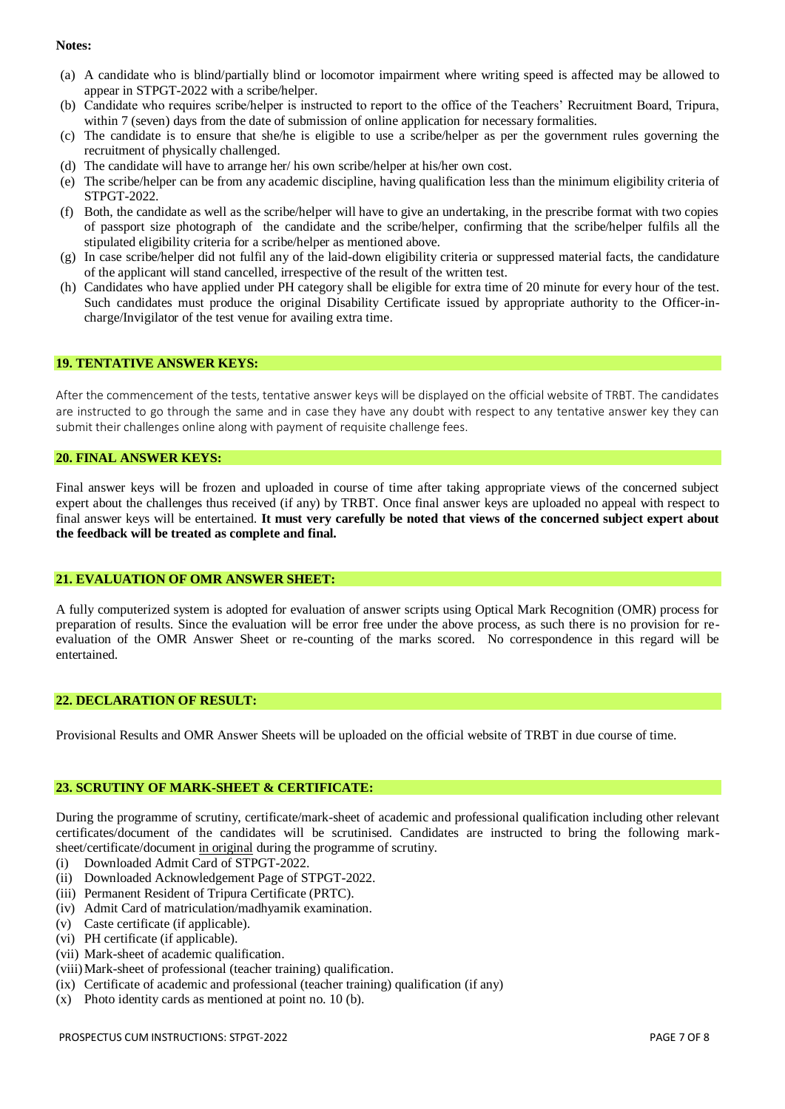#### **Notes:**

- (a) A candidate who is blind/partially blind or locomotor impairment where writing speed is affected may be allowed to appear in STPGT-2022 with a scribe/helper.
- (b) Candidate who requires scribe/helper is instructed to report to the office of the Teachers' Recruitment Board, Tripura, within 7 (seven) days from the date of submission of online application for necessary formalities.
- (c) The candidate is to ensure that she/he is eligible to use a scribe/helper as per the government rules governing the recruitment of physically challenged.
- (d) The candidate will have to arrange her/ his own scribe/helper at his/her own cost.
- (e) The scribe/helper can be from any academic discipline, having qualification less than the minimum eligibility criteria of STPGT-2022.
- (f) Both, the candidate as well as the scribe/helper will have to give an undertaking, in the prescribe format with two copies of passport size photograph of the candidate and the scribe/helper, confirming that the scribe/helper fulfils all the stipulated eligibility criteria for a scribe/helper as mentioned above.
- (g) In case scribe/helper did not fulfil any of the laid-down eligibility criteria or suppressed material facts, the candidature of the applicant will stand cancelled, irrespective of the result of the written test.
- (h) Candidates who have applied under PH category shall be eligible for extra time of 20 minute for every hour of the test. Such candidates must produce the original Disability Certificate issued by appropriate authority to the Officer-incharge/Invigilator of the test venue for availing extra time.

### **19. TENTATIVE ANSWER KEYS:**

After the commencement of the tests, tentative answer keys will be displayed on the official website of TRBT. The candidates are instructed to go through the same and in case they have any doubt with respect to any tentative answer key they can submit their challenges online along with payment of requisite challenge fees.

#### **20. FINAL ANSWER KEYS:**

Final answer keys will be frozen and uploaded in course of time after taking appropriate views of the concerned subject expert about the challenges thus received (if any) by TRBT. Once final answer keys are uploaded no appeal with respect to final answer keys will be entertained. **It must very carefully be noted that views of the concerned subject expert about the feedback will be treated as complete and final.**

# **21. EVALUATION OF OMR ANSWER SHEET:**

A fully computerized system is adopted for evaluation of answer scripts using Optical Mark Recognition (OMR) process for preparation of results. Since the evaluation will be error free under the above process, as such there is no provision for reevaluation of the OMR Answer Sheet or re-counting of the marks scored. No correspondence in this regard will be entertained.

## **22. DECLARATION OF RESULT:**

Provisional Results and OMR Answer Sheets will be uploaded on the official website of TRBT in due course of time.

# **23. SCRUTINY OF MARK-SHEET & CERTIFICATE:**

During the programme of scrutiny, certificate/mark-sheet of academic and professional qualification including other relevant certificates/document of the candidates will be scrutinised. Candidates are instructed to bring the following marksheet/certificate/document in original during the programme of scrutiny.

- (i) Downloaded Admit Card of STPGT-2022.
- (ii) Downloaded Acknowledgement Page of STPGT-2022.
- (iii) Permanent Resident of Tripura Certificate (PRTC).
- (iv) Admit Card of matriculation/madhyamik examination.
- (v) Caste certificate (if applicable).
- (vi) PH certificate (if applicable).
- (vii) Mark-sheet of academic qualification.
- (viii)Mark-sheet of professional (teacher training) qualification.
- (ix) Certificate of academic and professional (teacher training) qualification (if any)
- (x) Photo identity cards as mentioned at point no. 10 (b).